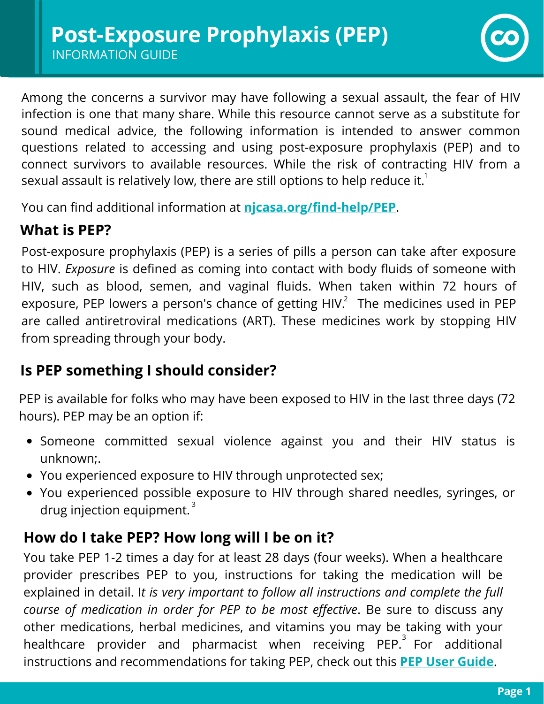

Among the concerns a survivor may have following a sexual assault, the fear of HIV infection is one that many share. While this resource cannot serve as a substitute for sound medical advice, the following information is intended to answer common questions related to accessing and using post-exposure prophylaxis (PEP) and to connect survivors to available resources. While the risk of contracting HIV from a sexual assault is relatively low, there are still options to help reduce it. $^{\rm 1}$ 

You can find additional information at **[njcasa.org/find-help/PEP](https://njcasa.org/find-help/pep/)**.

### **What is PEP?**

Post-exposure prophylaxis (PEP) is a series of pills a person can take after exposure to HIV. *Exposure* is defined as coming into contact with body fluids of someone with HIV, such as blood, semen, and vaginal fluids. When taken within 72 hours of exposure, PEP lowers a person's chance of getting HIV. $^2$  The medicines used in PEP are called antiretroviral medications (ART). These medicines work by stopping HIV from spreading through your body.

# **Is PEP something I should consider?**

PEP is available for folks who may have been exposed to HIV in the last three days (72 hours). PEP may be an option if:

- Someone committed sexual violence against you and their HIV status is unknown;.
- You experienced exposure to HIV through unprotected sex;
- You experienced possible exposure to HIV through shared needles, syringes, or drug injection equipment. $^{\mathrm{3}}$

# **How do I take PEP? How long will I be on it?**

You take PEP 1-2 times a day for at least 28 days (four weeks). When a healthcare provider prescribes PEP to you, instructions for taking the medication will be explained in detail. I*t is very important to follow all instructions and complete the full course of medication in order for PEP to be most effective*. Be sure to discuss any other medications, herbal medicines, and vitamins you may be taking with your healthcare provider and pharmacist when receiving PEP. $^{\mathrm{3}}$  For additional instructions and recommendations for taking PEP, check out this **PEP User [Guide](https://www1.nyc.gov/assets/doh/downloads/pdf/ah/pep-users-guide.pdf)**.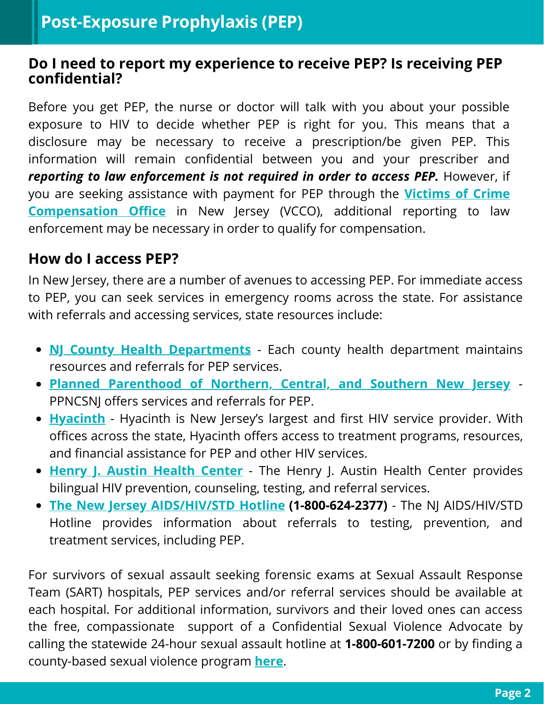#### **Do I need to report my experience to receive PEP? Is receiving PEP confidential?**

Before you get PEP, the nurse or doctor will talk with you about your possible exposure to HIV to decide whether PEP is right for you. This means that a disclosure may be necessary to receive a prescription/be given PEP. This information will remain confidential between you and your prescriber and *reporting to law enforcement is not required in order to access PEP.* However, if you are seeking assistance with payment for PEP through the **Victims of Crime [Compensation](https://www.njoag.gov/vcco/vcco-victims/) Office** in New Jersey (VCCO), additional reporting to law enforcement may be necessary in order to qualify for compensation.

### **How do I access PEP?**

In New Jersey, there are a number of avenues to accessing PEP. For immediate access to PEP, you can seek services in emergency rooms across the state. For assistance with referrals and accessing services, state resources include:

- **NJ County Health [Departments](https://www.state.nj.us/health/lh/community/)** Each county health department maintains resources and referrals for PEP services.
- **Planned [Parenthood](https://www.plannedparenthood.org/planned-parenthood-northern-central-southern-new-jersey) of Northern, Central, and Southern New Jersey** PPNCSNJ offers services and referrals for PEP.
- **[Hyacinth](https://www.hyacinth.org/prevent/)** Hyacinth is New Jersey's largest and first HIV service provider. With offices across the state, Hyacinth offers access to treatment programs, resources, and financial assistance for PEP and other HIV services.
- **Henry J. Austin [Health](https://henryjaustin.org/service/hiv-counseling-testing/) Cente[r](https://henryjaustin.org/service/hiv-counseling-testing/)** The Henry J. Austin Health Center provides bilingual HIV prevention, counseling, testing, and referral services.
- **The New Jersey [AIDS/HIV/STD](https://www.njhivstdline.org/) Hotline (1-800-624-2377)** The NJ AIDS/HIV/STD Hotline provides information about referrals to testing, prevention, and treatment services, including PEP.

For survivors of sexual assault seeking forensic exams at Sexual Assault Response Team (SART) hospitals, PEP services and/or referral services should be available at each hospital. For additional information, survivors and their loved ones can access the free, compassionate support of a Confidential Sexual Violence Advocate by calling the statewide 24-hour sexual assault hotline at **1-800-601-7200** or by finding a county-based sexual violence program **[here](https://njcasa.org/find-help/)**.